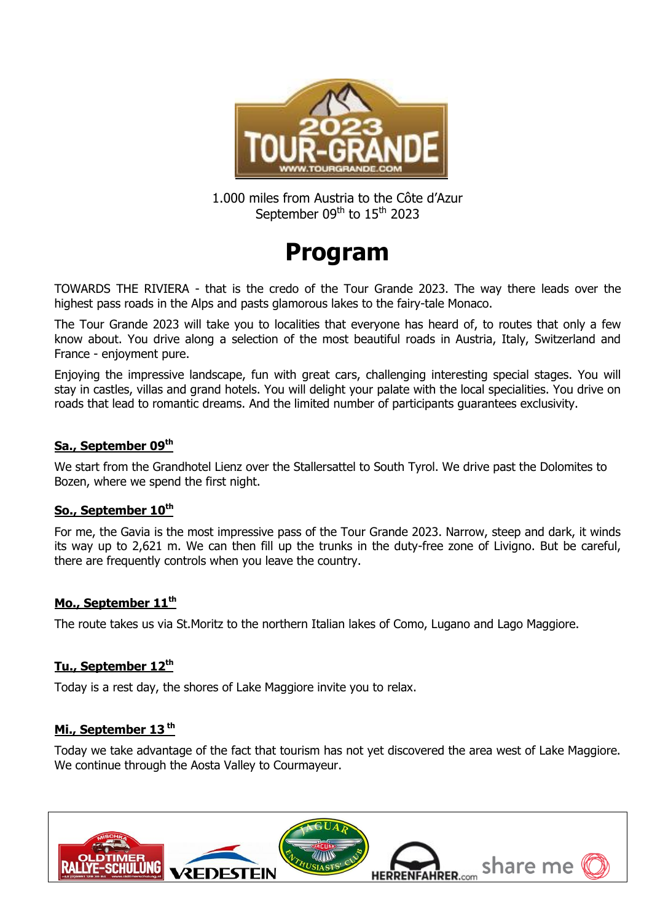

1.000 miles from Austria to the Côte d'Azur September 09<sup>th</sup> to 15<sup>th</sup> 2023

# **Program**

TOWARDS THE RIVIERA - that is the credo of the Tour Grande 2023. The way there leads over the highest pass roads in the Alps and pasts glamorous lakes to the fairy-tale Monaco.

The Tour Grande 2023 will take you to localities that everyone has heard of, to routes that only a few know about. You drive along a selection of the most beautiful roads in Austria, Italy, Switzerland and France - enjoyment pure.

Enjoying the impressive landscape, fun with great cars, challenging interesting special stages. You will stay in castles, villas and grand hotels. You will delight your palate with the local specialities. You drive on roads that lead to romantic dreams. And the limited number of participants guarantees exclusivity.

## **Sa., September 09th**

We start from the Grandhotel Lienz over the Stallersattel to South Tyrol. We drive past the Dolomites to Bozen, where we spend the first night.

## **So., September 10th**

For me, the Gavia is the most impressive pass of the Tour Grande 2023. Narrow, steep and dark, it winds its way up to 2,621 m. We can then fill up the trunks in the duty-free zone of Livigno. But be careful, there are frequently controls when you leave the country.

## **Mo., September 11th**

The route takes us via St.Moritz to the northern Italian lakes of Como, Lugano and Lago Maggiore.

#### **Tu., September 12th**

Today is a rest day, the shores of Lake Maggiore invite you to relax.

## **Mi., September 13 th**

Today we take advantage of the fact that tourism has not yet discovered the area west of Lake Maggiore. We continue through the Aosta Valley to Courmayeur.